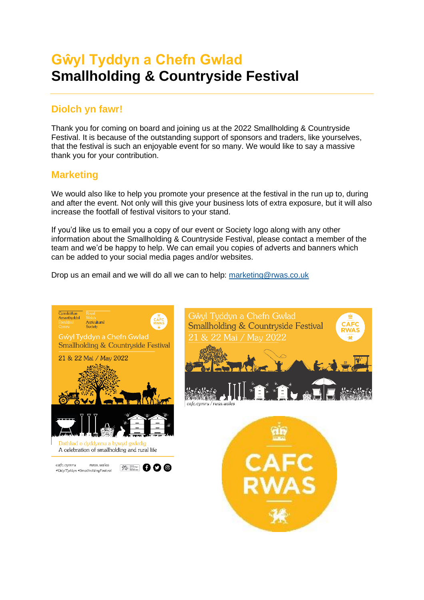# **Gŵyl Tyddyn a Chefn Gwlad Smallholding & Countryside Festival**

# **Diolch yn fawr!**

Thank you for coming on board and joining us at the 2022 Smallholding & Countryside Festival. It is because of the outstanding support of sponsors and traders, like yourselves, that the festival is such an enjoyable event for so many. We would like to say a massive thank you for your contribution.

## **Marketing**

We would also like to help you promote your presence at the festival in the run up to, during and after the event. Not only will this give your business lots of extra exposure, but it will also increase the footfall of festival visitors to your stand.

If you'd like us to email you a copy of our event or Society logo along with any other information about the Smallholding & Countryside Festival, please contact a member of the team and we'd be happy to help. We can email you copies of adverts and banners which can be added to your social media pages and/or websites.

Drop us an email and we will do all we can to help: [marketing@rwas.co.uk](mailto:marketing@rwas.co.uk)